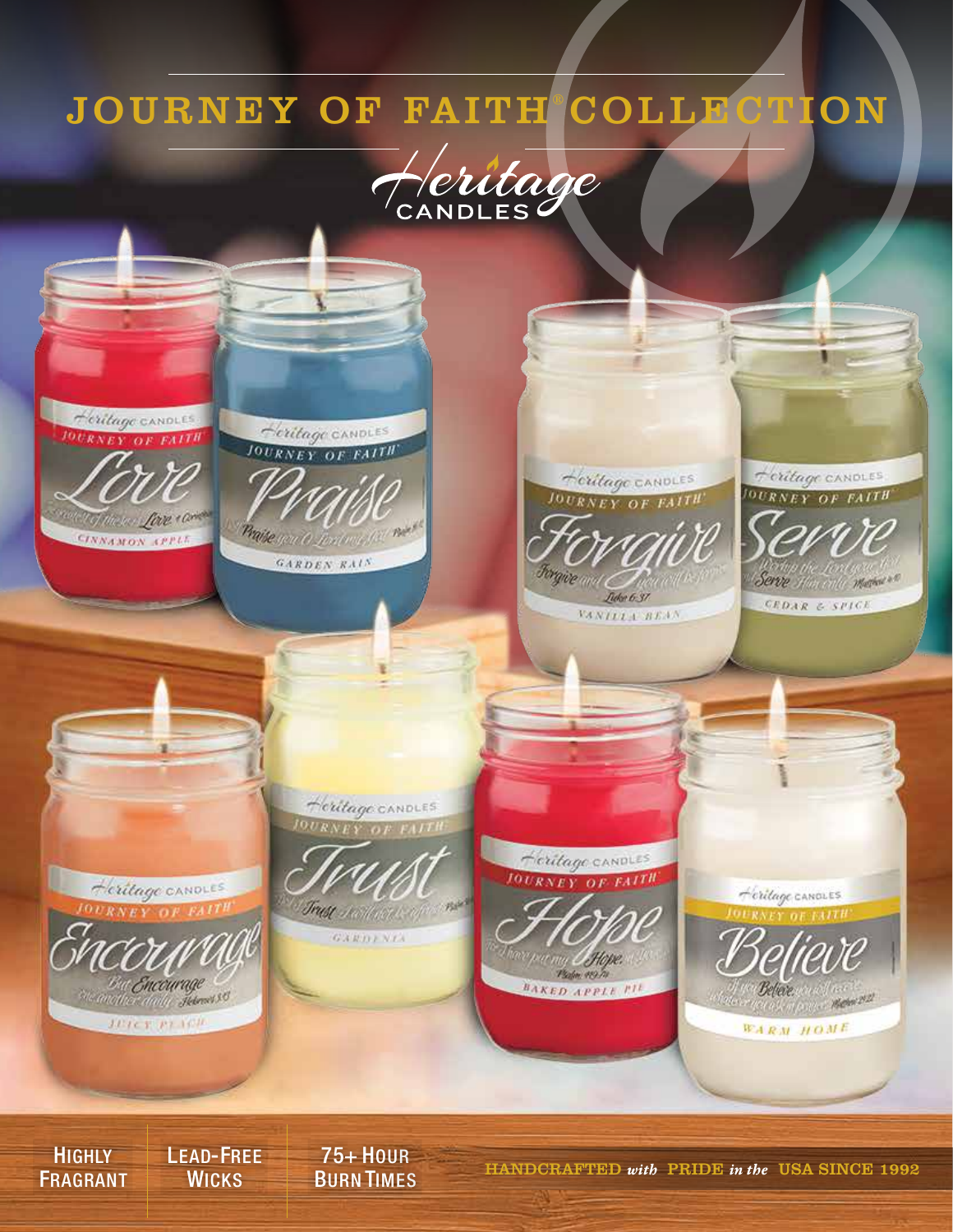## JOURNEY OF FAITH COLLECTION





**HIGHLY** FRAGRANT LEAD-FREE **WICKS** 

75+ HOUR

BURN TIMES HANDCRAFTED *with* PRIDE *in the* USA SINCE 1992